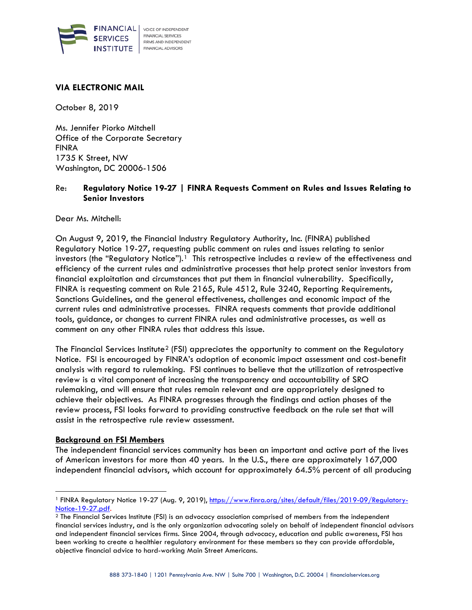

### **VIA ELECTRONIC MAIL**

October 8, 2019

Ms. Jennifer Piorko Mitchell Office of the Corporate Secretary FINRA 1735 K Street, NW Washington, DC 20006-1506

## Re: **Regulatory Notice 19-27 | FINRA Requests Comment on Rules and Issues Relating to Senior Investors**

Dear Ms. Mitchell:

On August 9, 2019, the Financial Industry Regulatory Authority, Inc. (FINRA) published Regulatory Notice 19-27, requesting public comment on rules and issues relating to senior investors (the "Regulatory Notice").<sup>[1](#page-0-0)</sup> This retrospective includes a review of the effectiveness and efficiency of the current rules and administrative processes that help protect senior investors from financial exploitation and circumstances that put them in financial vulnerability. Specifically, FINRA is requesting comment on Rule 2165, Rule 4512, Rule 3240, Reporting Requirements, Sanctions Guidelines, and the general effectiveness, challenges and economic impact of the current rules and administrative processes. FINRA requests comments that provide additional tools, guidance, or changes to current FINRA rules and administrative processes, as well as comment on any other FINRA rules that address this issue.

The Financial Services Institute<sup>[2](#page-0-1)</sup> (FSI) appreciates the opportunity to comment on the Regulatory Notice. FSI is encouraged by FINRA's adoption of economic impact assessment and cost-benefit analysis with regard to rulemaking. FSI continues to believe that the utilization of retrospective review is a vital component of increasing the transparency and accountability of SRO rulemaking, and will ensure that rules remain relevant and are appropriately designed to achieve their objectives. As FINRA progresses through the findings and action phases of the review process, FSI looks forward to providing constructive feedback on the rule set that will assist in the retrospective rule review assessment.

#### **Background on FSI Members**

1

The independent financial services community has been an important and active part of the lives of American investors for more than 40 years. In the U.S., there are approximately 167,000 independent financial advisors, which account for approximately 64.5% percent of all producing

<span id="page-0-0"></span><sup>&</sup>lt;sup>1</sup> FINRA Regulatory Notice 19-27 (Aug. 9, 2019), [https://www.finra.org/sites/default/files/2019-09/Regulatory-](https://www.finra.org/sites/default/files/2019-09/Regulatory-Notice-19-27.pdf)[Notice-19-27.pdf.](https://www.finra.org/sites/default/files/2019-09/Regulatory-Notice-19-27.pdf)

<span id="page-0-1"></span><sup>2</sup> The Financial Services Institute (FSI) is an advocacy association comprised of members from the independent financial services industry, and is the only organization advocating solely on behalf of independent financial advisors and independent financial services firms. Since 2004, through advocacy, education and public awareness, FSI has been working to create a healthier regulatory environment for these members so they can provide affordable, objective financial advice to hard-working Main Street Americans.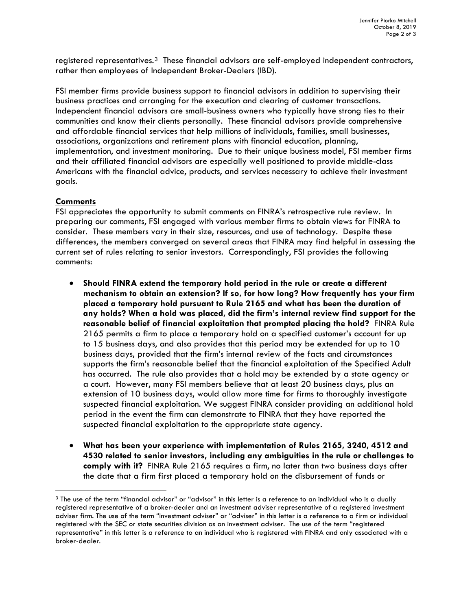registered representatives.<sup>3</sup> These financial advisors are self-employed independent contractors, rather than employees of Independent Broker-Dealers (IBD).

FSI member firms provide business support to financial advisors in addition to supervising their business practices and arranging for the execution and clearing of customer transactions. Independent financial advisors are small-business owners who typically have strong ties to their communities and know their clients personally. These financial advisors provide comprehensive and affordable financial services that help millions of individuals, families, small businesses, associations, organizations and retirement plans with financial education, planning, implementation, and investment monitoring. Due to their unique business model, FSI member firms and their affiliated financial advisors are especially well positioned to provide middle-class Americans with the financial advice, products, and services necessary to achieve their investment goals.

# **Comments**

1

FSI appreciates the opportunity to submit comments on FINRA's retrospective rule review. In preparing our comments, FSI engaged with various member firms to obtain views for FINRA to consider. These members vary in their size, resources, and use of technology. Despite these differences, the members converged on several areas that FINRA may find helpful in assessing the current set of rules relating to senior investors. Correspondingly, FSI provides the following comments:

- **Should FINRA extend the temporary hold period in the rule or create a different mechanism to obtain an extension? If so, for how long? How frequently has your firm placed a temporary hold pursuant to Rule 2165 and what has been the duration of any holds? When a hold was placed, did the firm's internal review find support for the reasonable belief of financial exploitation that prompted placing the hold?** FINRA Rule 2165 permits a firm to place a temporary hold on a specified customer's account for up to 15 business days, and also provides that this period may be extended for up to 10 business days, provided that the firm's internal review of the facts and circumstances supports the firm's reasonable belief that the financial exploitation of the Specified Adult has occurred. The rule also provides that a hold may be extended by a state agency or a court. However, many FSI members believe that at least 20 business days, plus an extension of 10 business days, would allow more time for firms to thoroughly investigate suspected financial exploitation. We suggest FINRA consider providing an additional hold period in the event the firm can demonstrate to FINRA that they have reported the suspected financial exploitation to the appropriate state agency.
- **What has been your experience with implementation of Rules 2165, 3240, 4512 and 4530 related to senior investors, including any ambiguities in the rule or challenges to comply with it?** FINRA Rule 2165 requires a firm, no later than two business days after the date that a firm first placed a temporary hold on the disbursement of funds or

<span id="page-1-0"></span><sup>&</sup>lt;sup>3</sup> The use of the term "financial advisor" or "advisor" in this letter is a reference to an individual who is a dually registered representative of a broker-dealer and an investment adviser representative of a registered investment adviser firm. The use of the term "investment adviser" or "adviser" in this letter is a reference to a firm or individual registered with the SEC or state securities division as an investment adviser. The use of the term "registered representative" in this letter is a reference to an individual who is registered with FINRA and only associated with a broker-dealer.